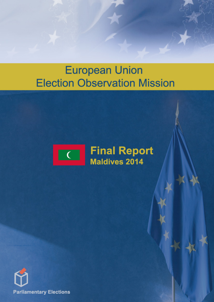# **European Union Election Observation Mission**



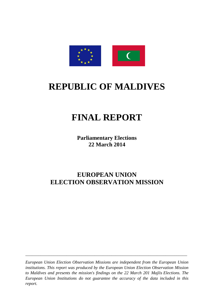

### **REPUBLIC OF MALDIVES**

### **FINAL REPORT**

**Parliamentary Elections 22 March 2014**

### **EUROPEAN UNION ELECTION OBSERVATION MISSION**

*European Union Election Observation Missions are independent from the European Union institutions. This report was produced by the European Union Election Observation Mission to Maldives and presents the mission's findings on the 22 March 201 Majlis Elections. The European Union Institutions do not guarantee the accuracy of the data included in this report.*

*\_\_\_\_\_\_\_\_\_\_\_\_\_\_\_\_\_\_\_\_\_\_\_\_\_\_\_\_\_\_\_\_\_\_\_\_\_\_\_\_\_\_\_\_\_\_\_\_\_\_\_\_\_\_\_\_\_\_\_\_\_\_\_\_\_\_\_\_\_\_\_\_\_\_\_*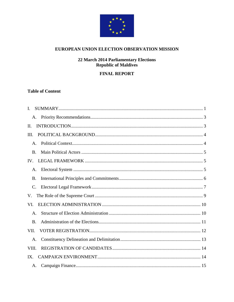

#### EUROPEAN UNION ELECTION OBSERVATION MISSION

## **22 March 2014 Parliamentary Elections<br>Republic of Maldives**

#### **FINAL REPORT**

#### **Table of Content**

| Ι.             |  |
|----------------|--|
|                |  |
| II.            |  |
| Ш.             |  |
| A.             |  |
| B.             |  |
|                |  |
| Α.             |  |
| B.             |  |
| $\mathbf{C}$ . |  |
| V.             |  |
| VI.            |  |
| Α.             |  |
| B.             |  |
| VII.           |  |
| A.             |  |
| VIII.          |  |
|                |  |
|                |  |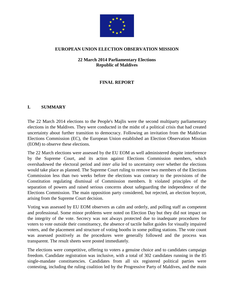

#### **EUROPEAN UNION ELECTION OBSERVATION MISSION**

**22 March 2014 Parliamentary Elections Republic of Maldives**

#### **FINAL REPORT**

#### **I. SUMMARY**

The 22 March 2014 elections to the People's Majlis were the second multiparty parliamentary elections in the Maldives. They were conducted in the midst of a political crisis that had created uncertainty about further transition to democracy. Following an invitation from the Maldivian Elections Commission (EC), the European Union established an Election Observation Mission (EOM) to observe these elections.

The 22 March elections were assessed by the EU EOM as well administered despite interference by the Supreme Court, and its action against Elections Commission members, which overshadowed the electoral period and *inter alia* led to uncertainty over whether the elections would take place as planned. The Supreme Court ruling to remove two members of the Elections Commission less than two weeks before the elections was contrary to the provisions of the Constitution regulating dismissal of Commission members. It violated principles of the separation of powers and raised serious concerns about safeguarding the independence of the Elections Commission. The main opposition party considered, but rejected, an election boycott, arising from the Supreme Court decision.

Voting was assessed by EU EOM observers as calm and orderly, and polling staff as competent and professional. Some minor problems were noted on Election Day but they did not impact on the integrity of the vote. Secrecy was not always protected due to inadequate procedures for voters to vote outside their constituency, the absence of tactile ballot guides for visually impaired voters, and the placement and structure of voting booths in some polling stations. The vote count was assessed positively as the procedures were generally followed and the process was transparent. The result sheets were posted immediately.

The elections were competitive, offering to voters a genuine choice and to candidates campaign freedom. Candidate registration was inclusive, with a total of 302 candidates running in the 85 single-mandate constituencies. Candidates from all six registered political parties were contesting, including the ruling coalition led by the Progressive Party of Maldives, and the main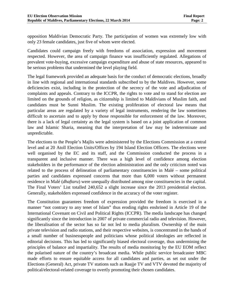opposition Maldivian Democratic Party. The participation of women was extremely low with only 23 female candidates, just five of whom were elected.

Candidates could campaign freely with freedoms of association, expression and movement respected. However, the area of campaign finance was insufficiently regulated. Allegations of prevalent vote-buying, excessive campaign expenditure and abuse of state resources, appeared to be serious problems that undermined the level playing field.

The legal framework provided an adequate basis for the conduct of democratic elections, broadly in line with regional and international standards subscribed to by the Maldives. However, some deficiencies exist, including in the protection of the secrecy of the vote and adjudication of complaints and appeals. Contrary to the ICCPR, the rights to vote and to stand for election are limited on the grounds of religion, as citizenship is limited to Maldivians of Muslim faith, and candidates must be Sunni Muslim. The existing proliferation of electoral law means that particular areas are regulated by a variety of legal instruments, rendering the law sometimes difficult to ascertain and to apply by those responsible for enforcement of the law. Moreover, there is a lack of legal certainty as the legal system is based on a joint application of common law and Islamic Sharia, meaning that the interpretation of law may be indeterminate and unpredictable.

The elections to the People's Majlis were administered by the Elections Commission at a central level and at 20 Atoll Election Units/Offices by 194 Island Election Officers. The elections were well organised by the EC and its staff, and the Commission conducted the process in a transparent and inclusive manner. There was a high level of confidence among election stakeholders in the performance of the election administration and the only criticism noted was related to the process of delineation of parliamentary constituencies in Malé – some political parties and candidates expressed concerns that more than 6,000 voters without permanent residence in Malé (*dhaftaru*) were unequally distributed among nine constituencies in the capital. The Final Voters' List totalled 240,652 a slight increase since the 2013 presidential election. Generally, stakeholders expressed confidence in the accuracy of the voter register.

The Constitution guarantees freedom of expression provided the freedom is exercised in a manner "not contrary to any tenet of Islam" thus eroding rights enshrined in Article 19 of the International Covenant on Civil and Political Rights (ICCPR). The media landscape has changed significantly since the introduction in 2007 of private commercial radio and television. However, the liberalisation of the sector has so far not led to media pluralism. Ownership of the main private television and radio stations, and their respective websites, is concentrated in the hands of a small number of businesspeople and politicians whose political ideologies are reflected in editorial decisions. This has led to significantly biased electoral coverage, thus undermining the principles of balance and impartiality. The results of media monitoring by the EU EOM reflect the polarised nature of the country's broadcast media. While public service broadcaster MBC made efforts to ensure equitable access for all candidates and parties, as set out under the Elections (General) Act, private TV stations such as Raajje TV and VTV devoted the majority of political/electoral-related coverage to overtly promoting their chosen candidates.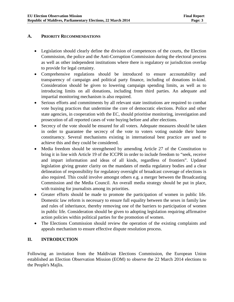#### **A. PRIORITY RECOMMENDATIONS**

- Legislation should clearly define the division of competences of the courts, the Election Commission, the police and the Anti-Corruption Commission during the electoral process as well as other independent institutions where there is regulatory or jurisdiction overlap to provide for legal certainty.
- Comprehensive regulations should be introduced to ensure accountability and transparency of campaign and political party finance, including of donations in-kind. Consideration should be given to lowering campaign spending limits, as well as to introducing limits on all donations, including from third parties. An adequate and impartial monitoring mechanism is also required.
- Serious efforts and commitments by all relevant state institutions are required to combat vote buying practices that undermine the core of democratic elections. Police and other state agencies, in cooperation with the EC, should prioritise monitoring, investigation and prosecution of all reported cases of vote buying before and after elections.
- Secrecy of the vote should be ensured for all voters. Adequate measures should be taken in order to guarantee the secrecy of the vote to voters voting outside their home constituency. Several mechanisms existing in international best practice are used to achieve this and they could be considered.
- Media freedom should be strengthened by amending Article 27 of the Constitution to bring it in line with Article 19 of the ICCPR in order to include freedom to "seek, receive and impart information and ideas of all kinds, regardless of frontiers". Updated legislation giving greater clarity on the mandates of media regulatory bodies and a clear delineation of responsibility for regulatory oversight of broadcast coverage of elections is also required. This could involve amongst others e.g. a merger between the Broadcasting Commission and the Media Council. An overall media strategy should be put in place, with training for journalists among its priorities.
- Greater efforts should be made to promote the participation of women in public life. Domestic law reform is necessary to ensure full equality between the sexes in family law and rules of inheritance, thereby removing one of the barriers to participation of women in public life. Consideration should be given to adopting legislation requiring affirmative action policies within political parties for the promotion of women.
- The Elections Commission should review the operation of the existing complaints and appeals mechanism to ensure effective dispute resolution process.

#### **II. INTRODUCTION**

Following an invitation from the Maldivian Elections Commission, the European Union established an Election Observation Mission (EOM) to observe the 22 March 2014 elections to the People's Majlis.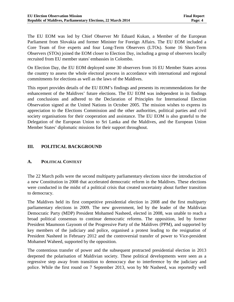The EU EOM was led by Chief Observer Mr Eduard Kukan, a Member of the European Parliament from Slovakia and former Minister for Foreign Affairs. The EU EOM included a Core Team of five experts and four Long-Term Observers (LTOs). Some 16 Short-Term Observers (STOs) joined the EOM closer to Election Day, including a group of observers locally recruited from EU member states' embassies in Colombo.

On Election Day, the EU EOM deployed some 30 observers from 16 EU Member States across the country to assess the whole electoral process in accordance with international and regional commitments for elections as well as the laws of the Maldives.

This report provides details of the EU EOM's findings and presents its recommendations for the enhancement of the Maldives' future elections. The EU EOM was independent in its findings and conclusions and adhered to the Declaration of Principles for International Election Observation signed at the United Nations in October 2005. The mission wishes to express its appreciation to the Elections Commission and the other authorities, political parties and civil society organisations for their cooperation and assistance. The EU EOM is also grateful to the Delegation of the European Union to Sri Lanka and the Maldives, and the European Union Member States' diplomatic missions for their support throughout.

#### **III. POLITICAL BACKGROUND**

#### **A. POLITICAL CONTEXT**

The 22 March polls were the second multiparty parliamentary elections since the introduction of a new Constitution in 2008 that accelerated democratic reform in the Maldives. These elections were conducted in the midst of a political crisis that created uncertainty about further transition to democracy.

The Maldives held its first competitive presidential election in 2008 and the first multiparty parliamentary elections in 2009. The new government, led by the leader of the Maldivian Democratic Party (MDP) President Mohamed Nasheed, elected in 2008, was unable to reach a broad political consensus to continue democratic reforms. The opposition, led by former President Maumoon Gayoom of the Progressive Party of the Maldives (PPM), and supported by key members of the judiciary and police, organised a protest leading to the resignation of President Nasheed in February 2012 and the controversial transfer of power to Vice-president Mohamed Waheed, supported by the opposition.

The contentious transfer of power and the subsequent protracted presidential election in 2013 deepened the polarisation of Maldivian society. These political developments were seen as a regressive step away from transition to democracy due to interference by the judiciary and police. While the first round on 7 September 2013, won by Mr Nasheed, was reportedly well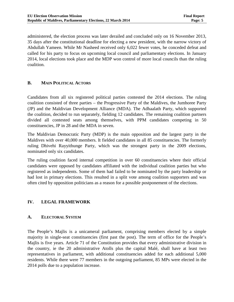administered, the election process was later derailed and concluded only on 16 November 2013, 35 days after the constitutional deadline for electing a new president, with the narrow victory of Abdullah Yameen. While Mr Nasheed received only 6,022 fewer votes, he conceded defeat and called for his party to focus on upcoming local council and parliamentary elections. In January 2014, local elections took place and the MDP won control of more local councils than the ruling coalition.

#### **B. MAIN POLITICAL ACTORS**

Candidates from all six registered political parties contested the 2014 elections. The ruling coalition consisted of three parties – the Progressive Party of the Maldives, the Jumhoree Party (JP) and the Maldivian Development Alliance (MDA). The Adhaalath Party, which supported the coalition, decided to run separately, fielding 12 candidates. The remaining coalition partners divided all contested seats among themselves, with PPM candidates competing in 50 constituencies, JP in 28 and the MDA in seven.

The Maldivian Democratic Party (MDP) is the main opposition and the largest party in the Maldives with over 40,000 members. It fielded candidates in all 85 constituencies. The formerly ruling Dhivehi Rayyithunge Party, which was the strongest party in the 2009 elections, nominated only six candidates.

The ruling coalition faced internal competition in over 60 constituencies where their official candidates were opposed by candidates affiliated with the individual coalition parties but who registered as independents. Some of them had failed to be nominated by the party leadership or had lost in primary elections. This resulted in a split vote among coalition supporters and was often cited by opposition politicians as a reason for a possible postponement of the elections.

#### **IV. LEGAL FRAMEWORK**

#### **A. ELECTORAL SYSTEM**

The People's Majlis is a unicameral parliament, comprising members elected by a simple majority in single-seat constituencies (first past the post). The term of office for the People's Majlis is five years. Article 71 of the Constitution provides that every administrative division in the country, ie the 20 administrative Atolls plus the capital Malé, shall have at least two representatives in parliament, with additional constituencies added for each additional 5,000 residents. While there were 77 members in the outgoing parliament, 85 MPs were elected in the 2014 polls due to a population increase.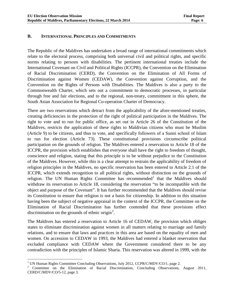#### **B. INTERNATIONAL PRINCIPLES AND COMMITMENTS**

The Republic of the Maldives has undertaken a broad range of international commitments which relate to the electoral process, comprising both universal civil and political rights, and specific norms relating to persons with disabilities. The pertinent international treaties include the International Covenant on Civil and Political Rights (ICCPR), the Convention on the Elimination of Racial Discrimination (CERD), the Convention on the Elimination of All Forms of Discrimination against Women (CEDAW), the Convention against Corruption, and the Convention on the Rights of Persons with Disabilities. The Maldives is also a party to the Commonwealth Charter, which sets out a commitment to democratic processes, in particular through free and fair elections, and to the regional, non-treaty, commitment in this sphere, the South Asian Association for Regional Co-operation Charter of Democracy.

There are two reservations which detract from the applicability of the afore-mentioned treaties, creating deficiencies in the protection of the right of political participation in the Maldives. The right to vote and to run for public office, as set out in Article 26 of the Constitution of the Maldives, restricts the application of these rights to Maldivian citizens who must be Muslim (Article 9) to be citizens, and thus to vote, and specifically followers of a Sunni school of Islam to run for election (Article 73). These constitutional provisions circumscribe political participation on the grounds of religion. The Maldives entered a reservation to Article 18 of the ICCPR, the provision which establishes that everyone shall have the right to freedom of thought, conscience and religion, stating that this principle is to be without prejudice to the Constitution of the Maldives. However, while this is a clear attempt to restrain the applicability of freedom of religion principles in the Maldives, no specific reservation has been entered to Article 2.1 of the ICCPR, which extends recognition to all political rights, without distinction on the grounds of religion. The UN Human Rights Committee has recommended  $<sup>1</sup>$  $<sup>1</sup>$  $<sup>1</sup>$  that the Maldives should</sup> withdraw its reservation to Article 18, considering the reservation "to be incompatible with the object and purpose of the Covenant". It has further recommended that the Maldives should revise its Constitution to ensure that religion is not a basis for citizenship. In addition to this situation having been the subject of negative appraisal in the context of the ICCPR, the Committee on the Elimination of Racial Discrimination has further contended that these provisions effect discrimination on the grounds of ethnic origin<sup>[2](#page-10-1)</sup>.

The Maldives has entered a reservation to Article 16 of CEDAW, the provision which obliges states to eliminate discrimination against women in all matters relating to marriage and family relations, and to ensure that laws and practices in this area are based on the equality of men and women. On accession to CEDAW in 1993, the Maldives had entered a blanket reservation that excluded compliance with CEDAW where the Government considered there to be any contradiction with the principles of Islamic Sharia. This reservation was altered in 1999, with the

 $\overline{a}$ 

<span id="page-10-1"></span><span id="page-10-0"></span><sup>&</sup>lt;sup>1</sup> UN Human Rights Committee Concluding Observations, July 2012, CCPR/C/MDV/CO/1, page 2. <br><sup>2</sup> Committee on the Elimination of Racial Discrimination, Concluding Observations, August 2011, CERD/C/MDV/CO/5-12, page 3.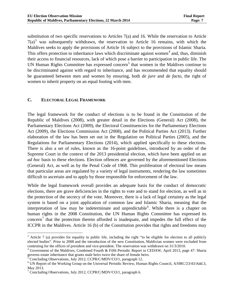substitution of two specific reservations to Articles 7(a) and 16. While the reservation to Article  $7(a)^3$  $7(a)^3$  was subsequently withdrawn, the reservation to Article 16 remains, with which the Maldives seeks to apply the provisions of Article 16 subject to the provisions of Islamic Sharia. This offers protection to inheritance laws which discriminate against women<sup>[4](#page-11-1)</sup> and, thus, diminish their access to financial resources, lack of which pose a barrier to participation in public life. The UN Human Rights Committee has expressed concern<sup>[5](#page-11-2)</sup> that women in the Maldives continue to be discriminated against with regard to inheritance, and has recommended that equality should be guaranteed between men and women by ensuring, both *de jure* and *de facto*, the right of women to inherit property on an equal footing with men.

#### **C. ELECTORAL LEGAL FRAMEWORK**

The legal framework for the conduct of elections is to be found in the Constitution of the Republic of Maldives (2008), with greater detail in the Elections (General) Act (2008), the Parliamentary Elections Act (2009), the Electoral Constituencies for the Parliamentary Elections Act (2009), the Elections Commission Act (2008), and the Political Parties Act (2013). Further elaboration of the law has been set out in the Regulation on Political Parties (2005), and the Regulations for Parliamentary Elections (2014), which applied specifically to these elections. There is also a set of rules, known as the 16-point guidelines, introduced by an order of the Supreme Court in the context of the 2013 presidential election, which have been applied on an *ad hoc* basis to these elections. Election offences are governed by the aforementioned Elections (General) Act, as well as by the Penal Code of 1968. This proliferation of electoral law means that particular areas are regulated by a variety of legal instruments, rendering the law sometimes difficult to ascertain and to apply by those responsible for enforcement of the law.

While the legal framework overall provides an adequate basis for the conduct of democratic elections, there are grave deficiencies in the rights to vote and to stand for election, as well as in the protection of the secrecy of the vote. Moreover, there is a lack of legal certainty as the legal system is based on a joint application of common law and Islamic Sharia, meaning that the interpretation of law may be indeterminate and unpredictable<sup>[6](#page-11-3)</sup>. While there is a chapter on human rights in the 2008 Constitution, the UN Human Rights Committee has expressed its  $\arccos$ <sup>[7](#page-11-4)</sup> that the protection therein afforded is inadequate, and impedes the full effect of the ICCPR in the Maldives. Article 16 (b) of the Constitution provides that rights and freedoms may

 $\overline{a}$ 

<span id="page-11-0"></span> $3$  Article 7 (a) provides for equality in public life, including the right "to be eligible for election to all publicly elected bodies". Prior to 2008 and the introduction of the new Constitution, Maldivian women were excluded from

<span id="page-11-1"></span>contesting for the offices of president and vice-president. The reservation was withdrawn on 31/3/2010.<br><sup>4</sup> Government of the Maldives, Combined Fourth & Fifth Periodic Report to CEDAW, April 2013, page 47: Sharia governs

<span id="page-11-3"></span>

<span id="page-11-2"></span> $\frac{5}{10}$  Concluding Observations, July 2012, CCPR/C/MDV/CO/1, paragraph 12.<br>
<sup>6</sup> UN Report of the Working Group on the Universal Periodic Review, Human Rights Council, A/HRC/23/43/Add.3, May 2013.

<span id="page-11-4"></span><sup>&</sup>lt;sup>7</sup> Concluding Observations, July 2012, CCPR/C/MDV/CO/1, paragraph 6.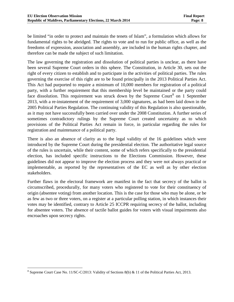be limited "in order to protect and maintain the tenets of Islam", a formulation which allows for fundamental rights to be abridged. The rights to vote and to run for public office, as well as the freedoms of expression, association and assembly, are included in the human rights chapter, and therefore can be made the subject of such limitation.

The law governing the registration and dissolution of political parties is unclear, as there have been several Supreme Court orders in this sphere. The Constitution, in Article 30, sets out the right of every citizen to establish and to participate in the activities of political parties. The rules governing the exercise of this right are to be found principally in the 2013 Political Parties Act. This Act had purported to require a minimum of 10,000 members for registration of a political party, with a further requirement that this membership level be maintained or the party could face dissolution. This requirement was struck down by the Supreme Court<sup>[8](#page-12-0)</sup> on 1 September 2013, with a re-instatement of the requirement of 3,000 signatures, as had been laid down in the 2005 Political Parties Regulation. The continuing validity of this Regulation is also questionable, as it may not have successfully been carried over under the 2008 Constitution. A further series of sometimes contradictory rulings by the Supreme Court created uncertainty as to which provisions of the Political Parties Act remain in force, in particular regarding the rules for registration and maintenance of a political party.

There is also an absence of clarity as to the legal validity of the 16 guidelines which were introduced by the Supreme Court during the presidential election. The authoritative legal source of the rules is uncertain, while their content, some of which refers specifically to the presidential election, has included specific instructions to the Elections Commission. However, these guidelines did not appear to improve the election process and they were not always practical or implementable, as reported by the representatives of the EC as well as by other election stakeholders.

Further flaws in the electoral framework are manifest in the fact that secrecy of the ballot is circumscribed, procedurally, for many voters who registered to vote for their constituency of origin (absentee voting) from another location. This is the case for those who may be alone, or be as few as two or three voters, on a register at a particular polling station, in which instances their votes may be identified, contrary to Article 25 ICCPR requiring secrecy of the ballot, including for absentee voters. The absence of tactile ballot guides for voters with visual impairments also encroaches upon secrecy rights.

<span id="page-12-0"></span><sup>8</sup> Supreme Court Case No. 11/SC-C/2013: Validity of Sections 8(b) & 11 of the Political Parties Act, 2013.  $\overline{a}$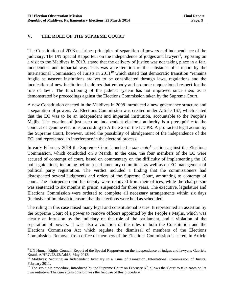#### **V. THE ROLE OF THE SUPREME COURT**

 $\overline{a}$ 

The Constitution of 2008 enshrines principles of separation of powers and independence of the judiciary. The UN Special Rapporteur on the independence of judges and lawyers<sup>[9](#page-13-0)</sup>, reporting on a visit to the Maldives in 2013, stated that the delivery of justice was not taking place in a fair, independent and impartial way. This was a re-iteration of the substance of a report by the International Commission of Jurists in  $2011<sup>10</sup>$  $2011<sup>10</sup>$  $2011<sup>10</sup>$  which stated that democratic transition "remains" fragile as nascent institutions are yet to be consolidated through laws, regulations and the inculcation of new institutional cultures that embody and promote unquestioned respect for the rule of law". The functioning of the judicial system has not improved since then, as is demonstrated by proceedings against the Elections Commission taken by the Supreme Court.

A new Constitution enacted in the Maldives in 2008 introduced a new governance structure and a separation of powers. An Elections Commission was created under Article 167, which stated that the EC was to be an independent and impartial institution, accountable to the People's Majlis. The creation of just such an independent electoral authority is a prerequisite to the conduct of genuine elections, according to Article 25 of the ICCPR. A protracted legal action by the Supreme Court, however, raised the possibility of abridgement of the independence of the EC, and represented an interference in the electoral process.

In early February 2014 the Supreme Court launched a *suo moto[11](#page-13-2)* action against the Elections Commission, which concluded on 9 March. In the case, the four members of the EC were accused of contempt of court, based on commentary on the difficulty of implementing the 16 point guidelines, including before a parliamentary committee; as well as on EC management of political party registration. The verdict included a finding that the commissioners had disrespected several judgments and orders of the Supreme Court, amounting to contempt of court. The chairperson and his deputy were removed from their offices, while the chairperson was sentenced to six months in prison, suspended for three years. The executive, legislature and Elections Commission were ordered to complete all necessary arrangements within six days (inclusive of holidays) to ensure that the elections were held as scheduled.

The ruling in this case raised many legal and constitutional issues. It represented an assertion by the Supreme Court of a power to remove officers appointed by the People's Majlis, which was clearly an intrusion by the judiciary on the role of the parliament, and a violation of the separation of powers. It was also a violation of the rules in both the Constitution and the Elections Commission Act which regulate the dismissal of members of the Elections Commission. Removal from office of members of the Elections Commission is stated, in Article

<span id="page-13-0"></span><sup>&</sup>lt;sup>9</sup> UN Human Rights Council, Report of the Special Rapporteur on the independence of judges and lawyers, Gabriela

<span id="page-13-1"></span>Knaul, A/HRC/23/43/Add.3, May 2013.<br><sup>10</sup> Maldives: Securing an Independent Judiciary in a Time of Transition, International Commission of Jurists, February 2011.

<span id="page-13-2"></span><sup>&</sup>lt;sup>11</sup> The *suo moto* procedure, introduced by the Supreme Court on February  $6<sup>th</sup>$ , allows the Court to take cases on its own initiative. The case against the EC was the first use of this procedure.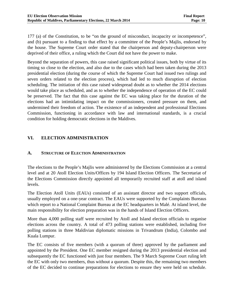177 (a) of the Constitution, to be "on the ground of misconduct, incapacity or incompetence", and (b) pursuant to a finding to that effect by a committee of the People's Majlis, endorsed by the house. The Supreme Court order stated that the chairperson and deputy-chairperson were deprived of their office, a ruling which the Court did not have the power to make.

Beyond the separation of powers, this case raised significant political issues, both by virtue of its timing so close to the election, and also due to the cases which had been taken during the 2013 presidential election (during the course of which the Supreme Court had issued two rulings and seven orders related to the election process), which had led to much disruption of election scheduling. The initiation of this case raised widespread doubt as to whether the 2014 elections would take place as scheduled, and as to whether the independence of operation of the EC could be preserved. The fact that this case against the EC was taking place for the duration of the elections had an intimidating impact on the commissioners, created pressure on them, and undermined their freedom of action. The existence of an independent and professional Elections Commission, functioning in accordance with law and international standards, is a crucial condition for holding democratic elections in the Maldives.

#### **VI. ELECTION ADMINISTRATION**

#### **A. STRUCTURE OF ELECTION ADMINISTRATION**

The elections to the People's Majlis were administered by the Elections Commission at a central level and at 20 Atoll Election Units/Offices by 194 Island Election Officers. The Secretariat of the Elections Commission directly appointed all temporarily recruited staff at atoll and island levels.

The Election Atoll Units (EAUs) consisted of an assistant director and two support officials, usually employed on a one-year contract. The EAUs were supported by the Complaints Bureaus which report to a National Complaint Bureau at the EC headquarters in Malé. At island level, the main responsibility for election preparation was in the hands of Island Election Officers.

More than 4,000 polling staff were recruited by Atoll and Island election officials to organise elections across the country. A total of 473 polling stations were established, including five polling stations in three Maldivian diplomatic missions in Trivandrum (India), Colombo and Kuala Lumpur.

The EC consists of five members (with a quorum of three) approved by the parliament and appointed by the President. One EC member resigned during the 2013 presidential election and subsequently the EC functioned with just four members. The 9 March Supreme Court ruling left the EC with only two members, thus without a quorum. Despite this, the remaining two members of the EC decided to continue preparations for elections to ensure they were held on schedule.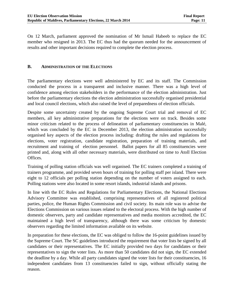On 12 March, parliament approved the nomination of Mr Ismail Habeeb to replace the EC member who resigned in 2013. The EC thus had the quorum needed for the announcement of results and other important decisions required to complete the election process.

#### **B. ADMINISTRATION OF THE ELECTIONS**

The parliamentary elections were well administered by EC and its staff. The Commission conducted the process in a transparent and inclusive manner. There was a high level of confidence among election stakeholders in the performance of the election administration. Just before the parliamentary elections the election administration successfully organised presidential and local council elections, which also raised the level of preparedness of election officials.

Despite some uncertainty created by the ongoing Supreme Court trial and removal of EC members, all key administrative preparations for the elections were on track. Besides some minor criticism related to the process of delineation of parliamentary constituencies in Malé, which was concluded by the EC in December 2013, the election administration successfully organised key aspects of the election process including: drafting the rules and regulations for elections, voter registration, candidate registration, preparation of training materials, and recruitment and training of election personnel. Ballot papers for all 85 constituencies were printed and, along with all other necessary materials, were distributed on time to Atoll Election Offices.

Training of polling station officials was well organised. The EC trainers completed a training of trainers programme, and provided seven hours of training for polling staff per island. There were eight to 12 officials per polling station depending on the number of voters assigned to each. Polling stations were also located in some resort islands, industrial islands and prisons.

In line with the EC Rules and Regulations for Parliamentary Elections, the National Elections Advisory Committee was established, comprising representatives of all registered political parties, police, the Human Rights Commission and civil society. Its main role was to advise the Elections Commission on various issues related to the electoral process. With the high number of domestic observers, party and candidate representatives and media monitors accredited, the EC maintained a high level of transparency, although there was some criticism by domestic observers regarding the limited information available on its website.

In preparation for these elections, the EC was obliged to follow the 16-point guidelines issued by the Supreme Court. The SC guidelines introduced the requirement that voter lists be signed by all candidates or their representatives. The EC initially provided two days for candidates or their representatives to sign the voter lists. As more than 50 candidates did not sign, the EC extended the deadline by a day. While all party candidates signed the voter lists for their constituencies, 16 independent candidates from 13 constituencies failed to sign, without officially stating the reason.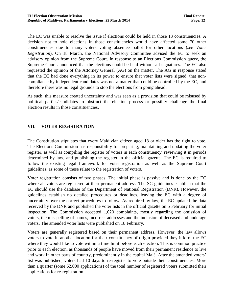The EC was unable to resolve the issue if elections could be held in those 13 constituencies. A decision not to hold elections in those constituencies would have affected some 70 other constituencies due to many voters voting absentee ballot for other locations (*see Voter Registration*). On 18 March, the National Advisory Committee advised the EC to seek an advisory opinion from the Supreme Court. In response to an Elections Commission query, the Supreme Court announced that the elections could be held without all signatures. The EC also requested the opinion of the Attorney General (AG) on the matter. The AG in response stated that the EC had done everything in its power to ensure that voter lists were signed, that noncompliance by independent candidates was not a matter that could be controlled by the EC, and therefore there was no legal grounds to stop the elections from going ahead.

As such, this measure created uncertainty and was seen as a provision that could be misused by political parties/candidates to obstruct the election process or possibly challenge the final election results in those constituencies.

#### **VII. VOTER REGISTRATION**

The Constitution stipulates that every Maldivian citizen aged 18 or older has the right to vote. The Elections Commission has responsibility for preparing, maintaining and updating the voter register, as well as compiling the register of voters in each constituency, reviewing it in periods determined by law, and publishing the register in the official gazette. The EC is required to follow the existing legal framework for voter registration as well as the Supreme Court guidelines, as some of these relate to the registration of voters.

Voter registration consists of two phases. The initial phase is passive and is done by the EC where all voters are registered at their permanent address. The SC guidelines establish that the EC should use the database of the Department of National Registration (DNR). However, the guidelines establish no detailed procedures or deadlines, leaving the EC with a degree of uncertainty over the correct procedures to follow. As required by law, the EC updated the data received by the DNR and published the voter lists in the official gazette on 5 February for initial inspection. The Commission accepted 1,020 complaints, mostly regarding the omission of voters, the misspelling of names, incorrect addresses and the inclusion of deceased and underage voters. The amended voter lists were published on 18 February.

Voters are generally registered based on their permanent address. However, the law allows voters to vote in another location for their constituency of origin provided they inform the EC where they would like to vote within a time limit before each election. This is common practice prior to each election, as thousands of people have moved from their permanent residence to live and work in other parts of country, predominantly in the capital Malé. After the amended voters' list was published, voters had 10 days to re-register to vote outside their constituencies. More than a quarter (some 62,000 applications) of the total number of registered voters submitted their applications for re-registration.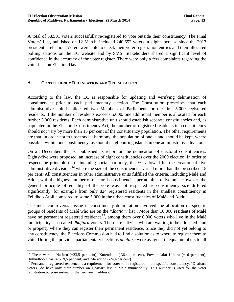A total of 58,501 voters successfully re-registered to vote outside their constituency. The Final Voters' List, published on 12 March, included 240,652 voters, a slight increase since the 2013 presidential election. Voters were able to check their voter registration entries and their allocated polling stations on the EC website and by SMS. Stakeholders shared a significant level of confidence in the accuracy of the voter register. There were only a few complaints regarding the voter lists on Election Day.

#### **A. CONSTITUENCY DELINEATION AND DELIMITATION**

According to the law, the EC is responsible for updating and verifying delimitation of constituencies prior to each parliamentary election. The Constitution prescribes that each administrative unit is allocated two Members of Parliament for the first 5,000 registered residents. If the number of residents exceeds 5,000, one additional member is allocated for each further 5,000 residents. Each administrative unit should establish separate constituencies and, as stipulated in the Electoral Constituency Act, the number of registered residents in a constituency should not vary by more than 15 per cent of the constituency population. The other requirements are that, in order not to upset social harmony, the population of one island should be kept, where possible, within one constituency, as should neighbouring islands in one administrative division.

On 23 December, the EC published its report on the delineation of electoral constituencies. Eighty-five were proposed, an increase of eight constituencies over the 2009 election. In order to respect the principle of maintaining social harmony, the EC allowed for the creation of five administrative divisions<sup>[12](#page-17-0)</sup> where the size of the constituencies varied more than the prescribed 15 per cent. All constituencies in other administrative units fulfilled the criteria, including Malé and Addu, with the highest number of electoral constituencies per administrative unit. However, the general principle of equality of the vote was not respected as constituency size differed significantly, for example from only 824 registered residents in the smallest constituency in Felidhoo Atoll compared to some 5,000 in the urban constituencies of Malé and Addu.

The most controversial issue in constituency delimitation involved the allocation of specific groups of residents of Malé who are on the "*dhaftaru* list". More than 10,000 residents of Malé have no permanent registered residence<sup>13</sup>, among them over 6,000 voters who live in the Malé municipality – so-called *dhaftaru* voters. These are citizens who are waiting to be allocated land or property where they can register their permanent residence. Since they did not yet belong to any constituency, the Elections Commission had to find a solution as to where to register them to vote. During the previous parliamentary elections *dhaftaru* were assigned in equal numbers to all

<span id="page-17-0"></span><sup>&</sup>lt;sup>12</sup> These were – Naifaru (+23,5 per cent), Kurendhoo (-36,4 per cent), Fuwamulaku Uthuru (+16 per cent), Hulhudhoo Dhaaira (-19,5 per cent) and Maradhoo (-24,4 per cent).<br><sup>13</sup> Permanent registered residence is a requirement for voter to be registered in the specific constituency. "Dhaftaru  $\overline{a}$ 

<span id="page-17-1"></span>voters" do have only their number on Dhaftaru list in Male municipality. This number is used for the voter registration purpose instead of the permanent address.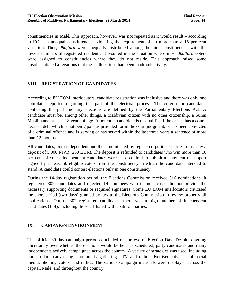constituencies in Malé. This approach, however, was not repeated as it would result – according to EC – in unequal constituencies, violating the requirement of no more than a 15 per cent variation. Thus, *dhaftaru* were unequally distributed among the nine constituencies with the lowest numbers of registered residents. It resulted in the situation where most *dhaftaru* voters were assigned to constituencies where they do not reside. This approach raised some unsubstantiated allegations that these allocations had been made selectively.

#### **VIII. REGISTRATION OF CANDIDATES**

According to EU EOM interlocutors, candidate registration was inclusive and there was only one complaint reported regarding this part of the electoral process. The criteria for candidates contesting the parliamentary elections are defined by the Parliamentary Elections Act. A candidate must be, among other things, a Maldivian citizen with no other citizenship, a Sunni Muslim and at least 18 years of age. A potential candidate is disqualified if he or she has a courtdecreed debt which is not being paid as provided for in the court judgment, or has been convicted of a criminal offence and is serving or has served within the last three years a sentence of more than 12 months.

All candidates, both independent and those nominated by registered political parties, must pay a deposit of 5,000 MVR (230 EUR). The deposit is refunded to candidates who win more than 10 per cent of votes. Independent candidates were also required to submit a statement of support signed by at least 50 eligible voters from the constituency in which the candidate intended to stand. A candidate could contest elections only in one constituency.

During the 14-day registration period, the Elections Commission received 316 nominations. It registered 302 candidates and rejected 14 nominees who in most cases did not provide the necessary supporting documents or required signatures. Some EU EOM interlocutors criticised the short period (two days) granted by law to the Elections Commission to review properly all applications. Out of 302 registered candidates, there was a high number of independent candidates (114), including those affiliated with coalition parties.

#### **IX. CAMPAIGN ENVIRONMENT**

The official 30-day campaign period concluded on the eve of Election Day. Despite ongoing uncertainty over whether the elections would be held as scheduled, party candidates and many independents actively campaigned across the country. A variety of strategies was used, including door-to-door canvassing, community gatherings, TV and radio advertisements, use of social media, phoning voters, and rallies. The various campaign materials were displayed across the capital, Malé, and throughout the country.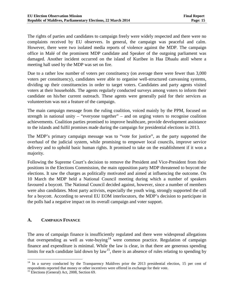The rights of parties and candidates to campaign freely were widely respected and there were no complaints received by EU observers. In general, the campaign was peaceful and calm. However, there were two isolated media reports of violence against the MDP. The campaign office in Malé of the prominent MDP candidate and Speaker of the outgoing parliament was damaged. Another incident occurred on the island of Kuribee in Haa Dhaalu atoll where a meeting hall used by the MDP was set on fire.

Due to a rather low number of voters per constituency (on average there were fewer than 3,000 voters per constituency), candidates were able to organise well-structured canvassing systems, dividing up their constituencies in order to target voters. Candidates and party agents visited voters at their households. The agents regularly conducted surveys among voters to inform their candidate on his/her current outreach. These agents were generally paid for their services as volunteerism was not a feature of the campaign.

The main campaign message from the ruling coalition, voiced mainly by the PPM, focused on strength in national unity – "everyone together" – and on urging voters to recognise coalition achievements. Coalition parties promised to improve healthcare, provide development assistance to the islands and fulfil promises made during the campaign for presidential elections in 2013.

The MDP's primary campaign message was to "vote for justice", as the party supported the overhaul of the judicial system, while promising to empower local councils, improve service delivery and to uphold basic human rights. It promised to take on the establishment if it won a majority.

Following the Supreme Court's decision to remove the President and Vice-President from their positions in the Elections Commission, the main opposition party MDP threatened to boycott the elections. It saw the charges as politically motivated and aimed at influencing the outcome. On 10 March the MDP held a National Council meeting during which a number of speakers favoured a boycott. The National Council decided against, however, since a number of members were also candidates. Most party activists, especially the youth wing, strongly supported the call for a boycott. According to several EU EOM interlocutors, the MDP's decision to participate in the polls had a negative impact on its overall campaign and voter support.

#### **A. CAMPAIGN FINANCE**

The area of campaign finance is insufficiently regulated and there were widespread allegations that overspending as well as vote-buying<sup>[14](#page-19-0)</sup> were common practice. Regulation of campaign finance and expenditure is minimal. While the law is clear, in that there are generous spending limits for each candidate laid down by law<sup>15</sup>, there is an absence of rules relating to spending by

<span id="page-19-0"></span><sup>&</sup>lt;sup>14</sup> In a survey conducted by the Transparency Maldives prior the 2013 presidential election, 15 per cent of respondents reported that money or other incentives were offered in exchange for their vote.  $\overline{a}$ 

<span id="page-19-1"></span><sup>&</sup>lt;sup>15</sup> Elections (General) Act, 2008, Section 69.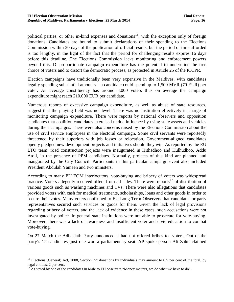political parties, or other in-kind expenses and donations<sup>[16](#page-20-0)</sup>, with the exception only of foreign donations. Candidates are bound to submit declarations of their spending to the Elections Commission within 30 days of the publication of official results, but the period of time afforded is too lengthy, in the light of the fact that the period for challenging results expires 16 days before this deadline. The Elections Commission lacks monitoring and enforcement powers beyond this. Disproportionate campaign expenditure has the potential to undermine the free choice of voters and to distort the democratic process, as protected in Article 25 of the ICCPR.

Election campaigns have traditionally been very expensive in the Maldives, with candidates legally spending substantial amounts – a candidate could spend up to 1,500 MVR (70 EUR) per voter. An average constituency has around 3,000 voters thus on average the campaign expenditure might reach 210,000 EUR per candidate.

Numerous reports of excessive campaign expenditure, as well as abuse of state resources, suggest that the playing field was not level. There was no institution effectively in charge of monitoring campaign expenditure. There were reports by national observers and opposition candidates that coalition candidates exercised undue influence by using state assets and vehicles during their campaigns. There were also concerns raised by the Elections Commission about the use of civil service employees in the electoral campaign. Some civil servants were reportedly threatened by their superiors with job losses or relocation. Government-aligned candidates openly pledged new development projects and initiatives should they win. As reported by the EU LTO team, road construction projects were inaugurated in Hithadhoo and Hulhudhoo, Addu Atoll, in the presence of PPM candidates. Normally, projects of this kind are planned and inaugurated by the City Council. Participants in this particular campaign event also included President Abdulah Yameen and two ministers.

According to many EU EOM interlocutors, vote-buying and bribery of voters was widespread practice. Voters allegedly received offers from all sides. There were reports<sup>[17](#page-20-1)</sup> of distribution of various goods such as washing machines and TVs. There were also allegations that candidates provided voters with cash for medical treatments, scholarships, loans and other goods in order to secure their votes. Many voters confirmed to EU Long-Term Observers that candidates or party representatives secured such services or goods for them. Given the lack of legal provisions regarding bribery of voters, and the lack of evidence in these cases, such accusations were not investigated by police. In general state institutions were not able to prosecute for vote-buying. Moreover, there was a lack of awareness and insufficient voter and civic education to combat vote-buying.

On 27 March the Adhaalath Party announced it had not offered bribes to voters. Out of the party's 12 candidates, just one won a parliamentary seat. AP spokesperson Ali Zahir claimed

 $\overline{a}$ 

<span id="page-20-0"></span><sup>&</sup>lt;sup>16</sup> Elections (General) Act, 2008, Section 72: donations by individuals may amount to 0.5 per cent of the total, by legal entities, 2 per cent.<br><sup>17</sup> As stated by one of the candidates in Male to EU observers "Money matters, we do what we have to do".

<span id="page-20-1"></span>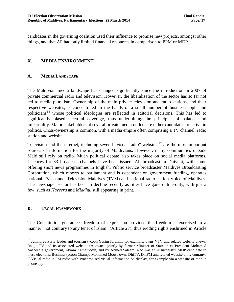candidates in the governing coalition used their influence to promise new projects, amongst other things, and that AP had only limited financial resources in comparison to PPM or MDP.

#### **X. MEDIA ENVIRONMENT**

#### **A. MEDIA LANDSCAPE**

The Maldivian media landscape has changed significantly since the introduction in 2007 of private commercial radio and television. However, the liberalisation of the sector has so far not led to media pluralism. Ownership of the main private television and radio stations, and their respective websites, is concentrated in the hands of a small number of businesspeople and politicians<sup>[18](#page-21-0)</sup> whose political ideologies are reflected in editorial decisions. This has led to significantly biased electoral coverage, thus undermining the principles of balance and impartiality. Major stakeholders at several private media outlets are either candidates or active in politics. Cross-ownership is common, with a media empire often comprising a TV channel, radio station and website.

Television and the internet, including several "visual radio" websites<sup>[19](#page-21-1)</sup> are the most important sources of information for the majority of Maldivians. However, many communities outside Malé still rely on radio. Much political debate also takes place on social media platforms. Licences for 33 broadcast channels have been issued. All broadcast in Dhivehi, with some offering short news programmes in English. Public service broadcaster Maldives Broadcasting Corporation, which reports to parliament and is dependent on government funding, operates national TV channel Television Maldives (TVM) and national radio station Voice of Maldives. The newspaper sector has been in decline recently as titles have gone online-only, with just a few, such as *Haveeru* and *Miadhu*, still appearing in print.

#### **B. LEGAL FRAMEWORK**

The Constitution guarantees freedom of expression provided the freedom is exercised in a manner "not contrary to any tenet of Islam" (Article 27), thus eroding rights enshrined in Article

<span id="page-21-0"></span><sup>&</sup>lt;sup>18</sup> Jumhoree Party leader and tourism tycoon Gasim Ibrahim, for example, owns VTV and related website vnews. Raajje TV and its associated website are owned jointly by former Minister of State in ex-President Mohamed Nasheed's government, Akram Kamaluddin, and by Ahmed Saleem, who was an unsuccessful MDP candidate in these elections. Business tycoon Champa Mohamed Moosa owns DhiTV, DhiFM and related website dhitv.com.mv.  $\overline{a}$ 

<span id="page-21-1"></span><sup>&</sup>lt;sup>19</sup> Visual radio is FM radio with synchronised visual information on display, for example via a website or mobile phone app.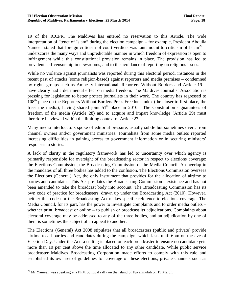19 of the ICCPR. The Maldives has entered no reservation to this Article. The wide interpretation of "tenet of Islam" during the election campaign – for example, President Abdulla Yameen stated that foreign criticism of court verdicts was tantamount to criticism of Islam<sup>[20](#page-22-0)</sup> – underscores the many ways and unpredictable manner in which freedom of expression is open to infringement while this constitutional provision remains in place. The provision has led to prevalent self-censorship in newsrooms, and to the avoidance of reporting on religious issues.

While no violence against journalists was reported during this electoral period, instances in the recent past of attacks (some religion-based) against reporters and media premises – condemned by rights groups such as Amnesty International, Reporters Without Borders and Article 19 – have clearly had a detrimental effect on media freedom. The Maldives Journalist Association is pressing for legislation to better protect journalists in their work. The country has regressed to 108<sup>th</sup> place on the Reporters Without Borders Press Freedom Index (the closer to first place, the freer the media), having shared joint  $51<sup>st</sup>$  place in 2010. The Constitution's guarantees of freedom of the media (Article 28) and to acquire and impart knowledge (Article 29) must therefore be viewed within the limiting context of Article 27.

Many media interlocutors spoke of editorial pressure, usually subtle but sometimes overt, from channel owners and/or government ministries. Journalists from some media outlets reported increasing difficulties in gaining access to government information or in securing ministers' responses to stories.

A lack of clarity in the regulatory framework has led to uncertainty over which agency is primarily responsible for oversight of the broadcasting sector in respect to elections coverage: the Elections Commission, the Broadcasting Commission or the Media Council. An overlap in the mandates of all three bodies has added to the confusion. The Elections Commission oversees the Elections (General) Act, the only instrument that provides for the allocation of airtime to parties and candidates. This Act pre-dates the Broadcasting Commission's existence and has not been amended to take the broadcast body into account. The Broadcasting Commission has its own code of practice for broadcasters, drawn up under the Broadcasting Act (2010). However, neither this code nor the Broadcasting Act makes specific reference to elections coverage. The Media Council, for its part, has the power to investigate complaints and to order media outlets – whether print, broadcast or online – to publish or broadcast its adjudications. Complaints about electoral coverage may be addressed to any of the three bodies, and an adjudication by one of them is sometimes the subject of an appeal to another.

The Elections (General) Act 2008 stipulates that all broadcasters (public and private) provide airtime to all parties and candidates during the campaign, which lasts until 6pm on the eve of Election Day. Under the Act, a ceiling is placed on each broadcaster to ensure no candidate gets more than 10 per cent above the time allocated to any other candidate. While public service broadcaster Maldives Broadcasting Corporation made efforts to comply with this rule and established its own set of guidelines for coverage of these elections, private channels such as

<span id="page-22-0"></span> $20$  Mr Yameen was speaking at a PPM political rally on the island of Fuvahmulah on 19 March.  $\overline{a}$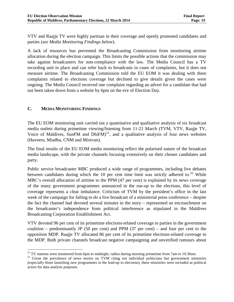VTV and Raajje TV were highly partisan in their coverage and openly promoted candidates and parties (*see Media Monitoring Findings below*).

A lack of resources has prevented the Broadcasting Commission from monitoring airtime allocation during the election campaign. This limits the possible actions that the commission may take against broadcasters for non-compliance with the law. The Media Council has a TV recording unit in place and can refer back to broadcasts in cases of complaints, but it does not measure airtime. The Broadcasting Commission told the EU EOM it was dealing with three complaints related to elections coverage but declined to give details given the cases were ongoing. The Media Council received one complaint regarding an advert for a candidate that had not been taken down from a website by 6pm on the eve of Election Day.

#### **C. MEDIA MONITORING FINDINGS**

The EU EOM monitoring unit carried out a quantitative and qualitative analysis of six broadcast media outlets during primetime viewing/listening from 11-21 March (TVM, VTV, Raajje TV, Voice of Maldives, SunFM and DhiFM $)^{21}$  $)^{21}$  $)^{21}$ , and a qualitative analysis of four news websites (Haveeru, Miadhu, CNM and Minivan).

The final results of the EU EOM media monitoring reflect the polarised nature of the broadcast media landscape, with the private channels focusing extensively on their chosen candidates and party.

Public service broadcaster MBC produced a wide range of programmes, including live debates between candidates during which the 10 per cent time limit was strictly adhered to.<sup>[22](#page-23-1)</sup> While MBC's overall allocation of airtime to the PPM (47 per cent) is explained by its news coverage of the many government programmes announced in the run-up to the elections, this level of coverage represents a clear imbalance. Criticism of TVM by the president's office in the last week of the campaign for failing to do a live broadcast of a ministerial press conference – despite the fact the channel had devoted several minutes to the story – represented an encroachment on the broadcaster's independence from political interference as stipulated in the Maldives Broadcasting Corporation Establishment Act.

VTV devoted 96 per cent of its primetime elections-related coverage to parties in the government coalition – predominantly JP (50 per cent) and PPM (37 per cent) – and four per cent to the opposition MDP. Raajje TV allocated 86 per cent of its primetime elections-related coverage to the MDP. Both private channels broadcast negative campaigning and unverified rumours about

<span id="page-23-0"></span> $^{21}$  TV stations were monitored from 6pm to midnight; radios during morning primetime from 7am to 10.30am.

<span id="page-23-1"></span> $22$  Given the prevalence of news stories on TVM citing not individual politicians but government ministries (especially those launching new programmes in the lead-up to elections), these ministries were included as political actors for data analysis purposes.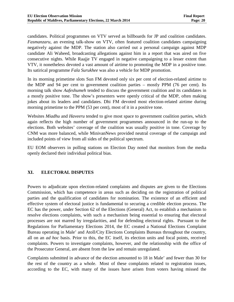candidates. Political programmes on VTV served as billboards for JP and coalition candidates. *Fasmanzaru*, an evening talk-show on VTV, often featured coalition candidates campaigning negatively against the MDP. The station also carried out a personal campaign against MDP candidate Ali Waheed, broadcasting allegations against him in a report that was aired on five consecutive nights. While Raajje TV engaged in negative campaigning to a lesser extent than VTV, it nonetheless devoted a vast amount of airtime to promoting the MDP in a positive tone. Its satirical programme *Fala Surukhee* was also a vehicle for MDP promotion.

In its morning primetime slots Sun FM devoted only six per cent of election-related airtime to the MDP and 94 per cent to government coalition parties – mostly PPM (76 per cent). Its morning talk show *Aafeshumeh* tended to discuss the government coalition and its candidates in a mostly positive tone. The show's presenters were openly critical of the MDP, often making jokes about its leaders and candidates. Dhi FM devoted most election-related airtime during morning primetime to the PPM (53 per cent), most of it in a positive tone.

Websites *Miadhu* and *Haveeru* tended to give most space to government coalition parties, which again reflects the high number of government programmes announced in the run-up to the elections. Both websites' coverage of the coalition was usually positive in tone. Coverage by CNM was more balanced, while MinivanNews provided neutral coverage of the campaign and included points of view from all sides of the political spectrum.

EU EOM observers in polling stations on Election Day noted that monitors from the media openly declared their individual political bias.

#### **XI. ELECTORAL DISPUTES**

Powers to adjudicate upon election-related complaints and disputes are given to the Elections Commission, which has competence in areas such as deciding on the registration of political parties and the qualification of candidates for nomination. The existence of an efficient and effective system of electoral justice is fundamental to securing a credible election process. The EC has the power, under Section 62 of the Elections (General) Act, to establish a mechanism to resolve elections complaints, with such a mechanism being essential to ensuring that electoral processes are not marred by irregularities, and for defending electoral rights. Pursuant to the Regulations for Parliamentary Elections 2014, the EC created a National Elections Complaint Bureau operating in Male' and Atoll/City Elections Complaints Bureaus throughout the country, all on an *ad hoc* basis. Prior to this, the EC itself, its election units and focal points, received complaints. Powers to investigate complaints, however, and the relationship with the office of the Prosecutor General, are absent from the law and remain unregulated.

Complaints submitted in advance of the election amounted to 18 in Male' and fewer than 30 for the rest of the country as a whole. Most of these complaints related to registration issues, according to the EC, with many of the issues have arisen from voters having missed the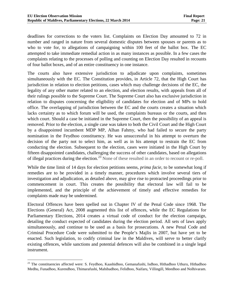deadlines for corrections to the voters list. Complaints on Election Day amounted to 72 in number and ranged in nature from several domestic disputes between spouses or parents as to who to vote for, to allegations of campaigning within 100 feet of the ballot box. The EC attempted to take immediate remedial action in as many instances as possible. In a few cases the complaints relating to the processes of polling and counting on Election Day resulted in recounts of four ballot boxes, and of an entire constituency in one instance.

The courts also have extensive jurisdiction to adjudicate upon complaints, sometimes simultaneously with the EC. The Constitution provides, in Article 72, that the High Court has jurisdiction in relation to election petitions, cases which may challenge decisions of the EC, the legality of any other matter related to an election, and election results, with appeals from all of their rulings possible to the Supreme Court. The Supreme Court also has exclusive jurisdiction in relation to disputes concerning the eligibility of candidates for election and of MPs to hold office. The overlapping of jurisdiction between the EC and the courts creates a situation which lacks certainty as to which forum will be used, the complaints bureaus or the courts, and then which court. Should a case be initiated in the Supreme Court, then the possibility of an appeal is removed. Prior to the election, a single case was taken to both the Civil Court and the High Court by a disappointed incumbent MDP MP, Alhan Fahmy, who had failed to secure the party nomination in the Feydhoo constituency. He was unsuccessful in his attempt to overturn the decision of the party not to select him, as well as in his attempt to restrain the EC from conducting the election. Subsequent to the election, cases were initiated in the High Court by fifteen disappointed candidates, challenging the success of other candidates, based on allegations of illegal practices during the election.[23](#page-25-0) None of these resulted in an order to recount or re-poll.

While the time limit of 14 days for election petitions seems, *prima facie*, to be somewhat long if remedies are to be provided in a timely manner, procedures which involve several tiers of investigation and adjudication, as detailed above, may give rise to protracted proceedings prior to commencement in court. This creates the possibility that electoral law will fail to be implemented, and the principle of the achievement of timely and effective remedies for complaints made may be undermined.

Electoral Offences have been spelled out in Chapter IV of the Penal Code since 1968. The Elections (General) Act, 2008 augmented this list of offences, while the EC Regulations for Parliamentary Elections, 2014 creates a virtual code of conduct for the election campaign, detailing the conduct expected of candidates during the election period. All sets of laws apply simultaneously, and continue to be used as a basis for prosecutions. A new Penal Code and Criminal Procedure Code were submitted to the People's Majlis in 2007, but have yet to be enacted. Such legislation, to codify criminal law in the Maldives, will serve to better clarify existing offences, while sanctions and potential defences will also be combined in a single legal instrument.

<span id="page-25-0"></span><sup>&</sup>lt;sup>23</sup> The constituencies affected were: S. Feydhoo, Kaashidhoo, Gemanafushi, Isdhoo, Hithadhoo Uthuru, Hithadhoo Medhu, Funadhoo, Kurendhoo, Thimarafushi, Mahibadhoo, Felidhoo, Naifaru, Villingill, Meedhoo and Nolhivaram.  $\overline{a}$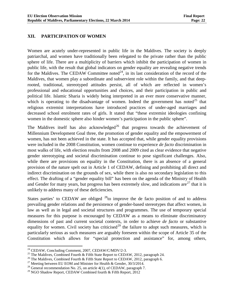#### **XII. PARTICIPATION OF WOMEN**

Women are acutely under-represented in public life in the Maldives. The society is deeply patriarchal, and women have traditionally been relegated to the private rather than the public sphere of life. There are a multiplicity of barriers which inhibit the participation of women in public life, with the result that global indicators on gender equality are revealing negative trends for the Maldives. The CEDAW Committee noted<sup>24</sup>, in its last consideration of the record of the Maldives, that women play a subordinate and subservient role within the family, and that deeprooted, traditional, stereotyped attitudes persist, all of which are reflected in women's professional and educational opportunities and choices, and their participation in public and political life. Islamic Sharia is widely being interpreted in an ever more conservative manner, which is operating to the disadvantage of women. Indeed the government has noted<sup>[25](#page-26-1)</sup> that religious extremist interpretations have introduced practices of under-aged marriages and decreased school enrolment rates of girls. It stated that "these extremist ideologies confining women in the domestic sphere also hinder women's participation in the public sphere".

The Maldives itself has also acknowledged<sup>[26](#page-26-2)</sup> that progress towards the achievement of Millennium Development Goal three, the promotion of gender equality and the empowerment of women, has not been achieved in the state. It has accepted that, while gender equality provisions were included in the 2008 Constitution, women continue to experience *de facto* discrimination in most walks of life, with election results from 2008 and 2009 cited as clear evidence that negative gender stereotyping and societal discrimination continue to pose significant challenges. Also, while there are provisions on equality in the Constitution, there is an absence of a general provision of the nature spelt out in Article 1 of CEDAW, defining and prohibiting all direct and indirect discrimination on the grounds of sex, while there is also no secondary legislation to this effect. The drafting of a "gender equality bill" has been on the agenda of the Ministry of Health and Gender for many years, but progress has been extremely slow, and indications are  $27$  that it is unlikely to address many of these deficiencies.

States parties' to CEDAW are obliged  $^{28}$  $^{28}$  $^{28}$  to improve the de facto position of and to address prevailing gender relations and the persistence of gender-based stereotypes that affect women, in law as well as in legal and societal structures and programmes. The use of temporary special measures for this purpose is encouraged by CEDAW as a means to eliminate discriminatory dimensions of past and current societal contexts, in order to achieve *de facto* or substantive equality for women. Civil society has criticised<sup>[29](#page-26-5)</sup> the failure to adopt such measures, which is particularly serious as such measures are arguably foreseen within the scope of Article 35 of the Constitution which allows for "special protection and assistance" for, among others,

<span id="page-26-0"></span><sup>&</sup>lt;sup>24</sup> CEDAW, Concluding Comment, 2007, CEDAW/C/MDV/2-3.

<span id="page-26-1"></span><sup>&</sup>lt;sup>25</sup> The Maldives, Combined Fourth & Fifth State Report to CEDAW, 2012, paragraph 24.<br><sup>26</sup> The Maldives, Combined Fourth & Fifth State Report to CEDAW, 2012, paragraph 6.<br><sup>27</sup> Meeting between EU EOM and Minister for Healt

<span id="page-26-3"></span><span id="page-26-2"></span>

<span id="page-26-4"></span>

<span id="page-26-5"></span><sup>&</sup>lt;sup>29</sup> NGO Shadow Report, CEDAW Combined fourth & Fifth Report, 2012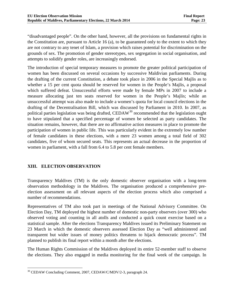"disadvantaged people". On the other hand, however, all the provisions on fundamental rights in the Constitution are, pursuant to Article 16 (a), to be guaranteed only to the extent to which they are not contrary to any tenet of Islam, a provision which raises potential for discrimination on the grounds of sex. The promotion of gender stereotypes, sex segregation in social organisation, and attempts to solidify gender roles, are increasingly endorsed.

The introduction of special temporary measures to promote the greater political participation of women has been discussed on several occasions by successive Maldivian parliaments. During the drafting of the current Constitution, a debate took place in 2006 in the Special Majlis as to whether a 15 per cent quota should be reserved for women in the People's Majlis, a proposal which suffered defeat. Unsuccessful efforts were made by female MPs in 2007 to include a measure allocating just ten seats reserved for women in the People's Majlis; while an unsuccessful attempt was also made to include a women's quota for local council elections in the drafting of the Decentralisation Bill, which was discussed by Parliament in 2010. In 2007, as political parties legislation was being drafted, CEDAW<sup>[30](#page-27-0)</sup> recommended that the legislation ought to have stipulated that a specified percentage of women be selected as party candidates. The situation remains, however, that there are no affirmative action measures in place to promote the participation of women in public life. This was particularly evident in the extremely low number of female candidates in these elections, with a mere 23 women among a total field of 302 candidates, five of whom secured seats. This represents an actual decrease in the proportion of women in parliament, with a fall from 6.4 to 5.8 per cent female members.

#### **XIII. ELECTION OBSERVATION**

Transparency Maldives (TM) is the only domestic observer organisation with a long-term observation methodology in the Maldives. The organisation produced a comprehensive preelection assessment on all relevant aspects of the election process which also comprised a number of recommendations.

Representatives of TM also took part in meetings of the National Advisory Committee. On Election Day, TM deployed the highest number of domestic non-party observers (over 300) who observed voting and counting in all atolls and conducted a quick count exercise based on a statistical sample. After the elections Transparency Maldives issued its Preliminary Statement on 23 March in which the domestic observers assessed Election Day as "well administered and transparent but wider issues of money politics threatens to hijack democratic process". TM planned to publish its final report within a month after the elections.

The Human Rights Commission of the Maldives deployed its entire 52-member staff to observe the elections. They also engaged in media monitoring for the final week of the campaign. In

<span id="page-27-0"></span><sup>&</sup>lt;sup>30</sup> CEDAW Concluding Comment, 2007, CEDAW/C/MDV/2-3, paragraph 24.  $\overline{a}$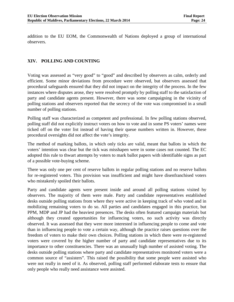addition to the EU EOM, the Commonwealth of Nations deployed a group of international observers.

#### **XIV. POLLING AND COUNTING**

Voting was assessed as "very good" to "good" and described by observers as calm, orderly and efficient. Some minor deviations from procedure were observed, but observers assessed that procedural safeguards ensured that they did not impact on the integrity of the process. In the few instances where disputes arose, they were resolved promptly by polling staff to the satisfaction of party and candidate agents present. However, there was some campaigning in the vicinity of polling stations and observers reported that the secrecy of the vote was compromised in a small number of polling stations.

Polling staff was characterized as competent and professional. In few polling stations observed, polling staff did not explicitly instruct voters on how to vote and in some PS voters' names were ticked off on the voter list instead of having their queue numbers written in. However, these procedural oversights did not affect the vote's integrity.

The method of marking ballots, in which only ticks are valid, meant that ballots in which the voters' intention was clear but the tick was misshapen were in some cases not counted. The EC adopted this rule to thwart attempts by voters to mark ballot papers with identifiable signs as part of a possible vote-buying scheme.

There was only one per cent of reserve ballots in regular polling stations and no reserve ballots for re-registered voters. This provision was insufficient and might have disenfranchised voters who mistakenly spoiled their ballots.

Party and candidate agents were present inside and around all polling stations visited by observers. The majority of them were male. Party and candidate representatives established desks outside polling stations from where they were active in keeping track of who voted and in mobilizing remaining voters to do so. All parties and candidates engaged in this practice, but PPM, MDP and JP had the heaviest presences. The desks often featured campaign materials but although they created opportunities for influencing voters, no such activity was directly observed. It was assessed that they were more interested in influencing people to come and vote than in influencing people to vote a certain way, although the practice raises questions over the freedom of voters to make their own choices. Polling stations in which there were re-registered voters were covered by the higher number of party and candidate representatives due to its importance to other constituencies. There was an unusually high number of assisted voting. The desks outside polling stations where party and candidate representatives monitored voters were a common source of "assisters". This raised the possibility that some people were assisted who were not really in need of it. As observed, polling staff performed elaborate tests to ensure that only people who really need assistance were assisted.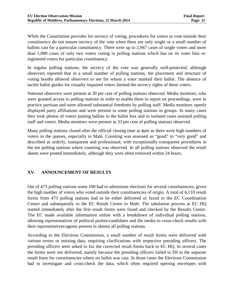While the Constitution provides for secrecy of voting, procedures for voters to vote outside their constituency do not ensure secrecy of the vote when there are only single or a small number of ballots cast for a particular constituency. There were up to 2,947 cases of single voters and more than 1,000 cases of only two voters voting in polling stations which has on its voter lists reregistered voters for particular constituency.

In regular polling stations, the secrecy of the vote was generally well-protected, although observers reported that in a small number of polling stations, the placement and structure of voting booths allowed observers to see for whom a voter marked their ballot. The absence of tactile ballot guides for visually impaired voters limited the secrecy rights of these voters.

National observers were present at 30 per cent of polling stations observed. Media monitors, who were granted access to polling stations in order to enable them to report on proceedings, were in practice partisan and were allowed substantial freedoms by polling staff. Media monitors openly displayed party affiliations and were present in some polling stations in groups. In many cases they took photos of voters putting ballots in the ballot box and in isolated cases assisted polling staff and voters. Media monitors were present in 33 per cent of polling stations observed.

Many polling stations closed after the official closing time at 4pm as there were high numbers of voters in the queues, especially in Malé. Counting was assessed as "good" to "very good" and described as orderly, transparent and professional, with exceptionally transparent procedures in the ten polling stations where counting was observed. In all polling stations observed the result sheets were posted immediately, although they were often removed within 24 hours.

#### **XV. ANNOUNCEMENT OF RESULTS**

Out of 473 polling stations some 100 had to administer elections for several constituencies, given the high number of voters who voted outside their constituencies of origin. A total of 6,110 result forms from 473 polling stations had to be either delivered or faxed to the EC Coordination Centre and subsequently to the EC Result Centre in Malé. The tabulation process at EC HQ started immediately after the first result forms were faxed and checked by the Results Centre. The EC made available information online with a breakdown of individual polling stations, allowing representatives of political parties/candidates and the media to cross-check results with their representatives/agents present in almost all polling stations.

According to the Elections Commission, a small number of result forms were delivered with various errors or missing data, requiring clarifications with respective presiding officers. The presiding officers were asked to fax the corrected result forms back to EC HQ. In several cases the forms were not delivered, mainly because the presiding officers failed to fill in the separate result form for constituencies where no ballot was cast. In those cases the Elections Commission had to investigate and cross-check the data, which often required opening envelopes with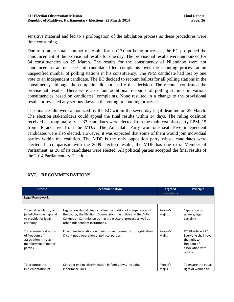sensitive material and led to a prolongation of the tabulation process as these procedures were time consuming.

Due to a rather small number of results forms (13) not being processed, the EC postponed the announcement of the provisional results for one day. The provisional results were announced for 84 constituencies on 25 March. The results for the constituency of Nilandhoo were not announced as an unsuccessful candidate filed complaints over the counting process at an unspecified number of polling stations in his constituency. The PPM candidate had lost by one vote to an independent candidate. The EC decided to recount ballots for all polling stations in the constituency although the complaint did not justify this decision. The recount confirmed the provisional results. There were also four additional recounts of polling stations in various constituencies based on candidates' complaints. None resulted in a change to the provisional results or revealed any serious flaws in the voting or counting processes.

The final results were announced by the EC within the seven-day legal deadline on 29 March. The election stakeholders could appeal the final results within 14 days. The ruling coalition received a strong majority as 33 candidates were elected from the main coalition party PPM, 15 from JP and five from the MDA. The Adhaalath Party won one seat. Five independent candidates were also elected. However, it was expected that some of them would join individual parties within the coalition. The MDP is the only opposition party whose candidates were elected. In comparison with the 2009 election results, the MDP has one extra Member of Parliament, as 26 of its candidates were elected. All political parties accepted the final results of the 2014 Parliamentary Elections.

| <b>Purpose</b>                                                                                        | <b>Recommendation</b>                                                                                                                                                                                                                  | <b>Targeted</b><br><b>Institutions</b> | <b>Principle</b>                                                                                             |
|-------------------------------------------------------------------------------------------------------|----------------------------------------------------------------------------------------------------------------------------------------------------------------------------------------------------------------------------------------|----------------------------------------|--------------------------------------------------------------------------------------------------------------|
| <b>Legal Framework</b>                                                                                |                                                                                                                                                                                                                                        |                                        |                                                                                                              |
| To avoid regulatory or<br>jurisdiction overlap and<br>to provide for legal<br>certainty               | Legislation should clearly define the division of competences of<br>the courts, the Elections Commission, the police and the Anti-<br>Corruption Commission during the electoral process as well as<br>other independent institutions. | People's<br>Majlis,                    | Separation of<br>powers, legal<br>certainly                                                                  |
| To promote realisation<br>of freedom of<br>association, through<br>membership of political<br>parties | Enact new legislation on minimum requirements for registration<br>& continued operation of political parties.                                                                                                                          | People's<br>Majlis                     | <b>ICCPR Article 22.1</b><br>Everyone shall have<br>the right to<br>freedom of<br>association with<br>others |
| To promote the<br>implementation of                                                                   | Consider ending discrimination in family laws, including<br>inheritance laws.                                                                                                                                                          | People's<br>Mailis                     | To ensure the equal<br>right of women to                                                                     |

#### **XVI. RECOMMENDATIONS**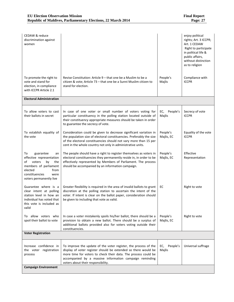| CEDAW & reduce<br>discrimination against<br>women                                                                                                                               |                                                                                                                                                                                                                                                                                                      |                           | enjoy political<br>rights; Art. 3 ICCPR;<br>Art. 1 CEDAW<br>Right to participate<br>in political life &<br>public affairs,<br>without distinction<br>as to religion |
|---------------------------------------------------------------------------------------------------------------------------------------------------------------------------------|------------------------------------------------------------------------------------------------------------------------------------------------------------------------------------------------------------------------------------------------------------------------------------------------------|---------------------------|---------------------------------------------------------------------------------------------------------------------------------------------------------------------|
| To promote the right to<br>vote and stand for<br>election, in compliance<br>with ICCPR Article 2.1                                                                              | Revise Constitution: Article 9 – that one be a Muslim to be a<br>citizen & vote; Article 73 - that one be a Sunni Muslim citizen to<br>stand for election.                                                                                                                                           | People's<br>Majlis        | Compliance with<br><b>ICCPR</b>                                                                                                                                     |
| <b>Electoral Administration</b>                                                                                                                                                 |                                                                                                                                                                                                                                                                                                      |                           |                                                                                                                                                                     |
| To allow voters to cast<br>their ballots in secret                                                                                                                              | In case of one voter or small number of voters voting for<br>particular constituency in the polling station located outside of<br>their constituency appropriate measures should be taken in order<br>to guarantee the secrecy of vote.                                                              | People's<br>EC,<br>Majlis | Secrecy of vote<br><b>ICCPR</b>                                                                                                                                     |
| To establish equality of<br>the vote                                                                                                                                            | Consideration could be given to decrease significant variation in<br>the population size of electoral constituencies. Preferably the size<br>of the electoral constituencies should not vary more than 15 per<br>cent in the whole country not only in administrative units.                         | People's<br>Majlis, EC    | Equality of the vote<br><b>ICCPR</b>                                                                                                                                |
| guarantee<br>To<br>an<br>effective representation<br>of<br>voters<br>by<br>the<br>members of parliament<br>elected<br>from<br>constituencies<br>were<br>voters permanently live | The people should have a right to register themselves as voters in<br>electoral constituencies they permanently reside in, in order to be<br>effectively represented by Members of Parliament. The process<br>should be accompanied by an information campaign.                                      | People's<br>Majlis, EC    | Effective<br>Representation                                                                                                                                         |
| Guarantee where is a<br>clear intent at polling<br>station level in how an<br>individual has voted that<br>this vote is included as<br>valid                                    | Greater flexibility is required in the area of invalid ballots to grant<br>discretion at the polling station to ascertain the intent of the<br>voter. If intent is clear on the ballot paper, consideration should<br>be given to including that vote as valid.                                      | EC                        | Right to vote                                                                                                                                                       |
| To allow voters who<br>spoil their ballot to vote                                                                                                                               | In case a voter mistakenly spoils his/her ballot, there should be a<br>provision to obtain a new ballot. There should be a surplus of<br>additional ballots provided also for voters voting outside their<br>constituencies.                                                                         | People's<br>Majlis, EC    | Right to vote                                                                                                                                                       |
| <b>Voter Registration</b>                                                                                                                                                       |                                                                                                                                                                                                                                                                                                      |                           |                                                                                                                                                                     |
| Increase confidence in<br>the voter registration<br>process                                                                                                                     | To improve the update of the voter register, the process of the<br>display of voter register should be extended so there would be<br>more time for voters to check their data. The process could be<br>accompanied by a massive information campaign reminding<br>voters about their responsibility. | People's<br>EC,<br>Majlis | Universal suffrage                                                                                                                                                  |
| <b>Campaign Environment</b>                                                                                                                                                     |                                                                                                                                                                                                                                                                                                      |                           |                                                                                                                                                                     |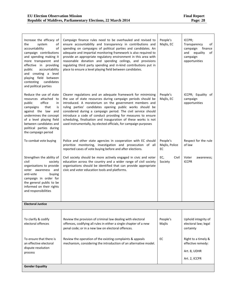| Increase the efficacy of<br>system<br>the<br>οf<br>of<br>accountability<br>campaign contributions<br>and spending making it<br>more transparent and<br>effective in providing<br>accountability<br>public<br>and creating a level<br>playing field between<br>contesting<br>candidates<br>and political parties | Campaign finance rules need to be overhauled and revised to<br>ensure accountability and transparency in contributions and<br>spending on campaigns of political parties and candidates. An<br>adequate and impartial monitoring framework is also required to<br>provide an appropriate regulatory environment in this area with<br>reasonable donation and spending ceilings, and provisions<br>regulating third party spending and in-kind contributions put in<br>place to ensure a level playing field between candidates. | People's<br>Majlis, EC           | ICCPR;<br>Transparency<br>of<br>campaign<br>finance<br>and<br>equality<br>of<br>campaign<br>opportunities |
|-----------------------------------------------------------------------------------------------------------------------------------------------------------------------------------------------------------------------------------------------------------------------------------------------------------------|---------------------------------------------------------------------------------------------------------------------------------------------------------------------------------------------------------------------------------------------------------------------------------------------------------------------------------------------------------------------------------------------------------------------------------------------------------------------------------------------------------------------------------|----------------------------------|-----------------------------------------------------------------------------------------------------------|
| Reduce the use of state<br>resources attached to<br>office<br>public<br>in<br>that<br>campaigns<br>is<br>against the law and<br>undermines the concept<br>of a level playing field<br>between candidates and<br>political parties during<br>the campaign period                                                 | Clearer regulations and an adequate framework for minimising<br>the use of state resources during campaign periods should be<br>introduced. A moratorium on the government members and<br>ruling parties' candidates opening public works should be<br>considered during a campaign period. The civil service should<br>introduce a code of conduct providing for measures to ensure<br>scheduling, finalisation and inauguration of these works is not<br>used instrumentally, by elected officials, for campaign purposes     | People's<br>Majlis, EC           | ICCPR; Equality of<br>campaign<br>opportunities                                                           |
| To combat vote buying                                                                                                                                                                                                                                                                                           | Police and other state agencies in cooperation with EC should<br>prioritize monitoring, investigation and prosecution of all<br>reported cases of vote buying before and after elections.                                                                                                                                                                                                                                                                                                                                       | People's<br>Majlis, Police<br>EC | Respect for the rule<br>of law                                                                            |
| Strengthen the ability of<br>civil<br>society<br>organisations to provide<br>voter awareness and<br>anti-vote<br>buying<br>campaign in order for<br>the general public to be<br>informed on their rights<br>and responsibilities                                                                                | Civil society should be more actively engaged in civic and voter<br>education across the country and a wider range of civil society<br>organisations should be identified that can provide appropriate<br>civic and voter education tools and platforms.                                                                                                                                                                                                                                                                        | EC,<br>Civil<br>Society          | Voter<br>awareness;<br><b>ICCPR</b>                                                                       |
| <b>Electoral Justice</b>                                                                                                                                                                                                                                                                                        |                                                                                                                                                                                                                                                                                                                                                                                                                                                                                                                                 |                                  |                                                                                                           |
| To clarify & codify<br>electoral offences                                                                                                                                                                                                                                                                       | Review the provision of criminal law dealing with electoral<br>offences, codifying all rules in either a single chapter of a new<br>penal code; or in a new law on electoral offences.                                                                                                                                                                                                                                                                                                                                          | People's<br>Majlis               | Uphold integrity of<br>electoral law; legal<br>certainty                                                  |
| To ensure that there is<br>an effective electoral<br>dispute resolution<br>process                                                                                                                                                                                                                              | Review the operation of the existing complaints & appeals<br>mechanism, considering the introduction of an alternative model.                                                                                                                                                                                                                                                                                                                                                                                                   | EC                               | Right to a timely &<br>effective remedy:<br>Art. 8, UDHR<br>Art. 2, ICCPR                                 |
| <b>Gender Equality</b>                                                                                                                                                                                                                                                                                          |                                                                                                                                                                                                                                                                                                                                                                                                                                                                                                                                 |                                  |                                                                                                           |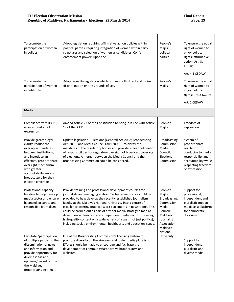ı,

| To promote the<br>participation of women<br>in politics                                                                                                                                                                                                    | Adopt legislation requiring affirmative action policies within<br>political parties, requiring integration of women within party<br>structures and selection of women as candidates. Confer<br>enforcement powers upon the EC.                                                                                                                                                                                                                                                                                                                                                                                         | People's<br>Majlis;<br>political<br>parties                                                                                                             | To ensure the equal<br>right of women to<br>enjoy political<br>rights; affirmative<br>action. Art. 3,<br>ICCPR;                                     |
|------------------------------------------------------------------------------------------------------------------------------------------------------------------------------------------------------------------------------------------------------------|------------------------------------------------------------------------------------------------------------------------------------------------------------------------------------------------------------------------------------------------------------------------------------------------------------------------------------------------------------------------------------------------------------------------------------------------------------------------------------------------------------------------------------------------------------------------------------------------------------------------|---------------------------------------------------------------------------------------------------------------------------------------------------------|-----------------------------------------------------------------------------------------------------------------------------------------------------|
|                                                                                                                                                                                                                                                            |                                                                                                                                                                                                                                                                                                                                                                                                                                                                                                                                                                                                                        |                                                                                                                                                         | Art. 4.1 CEDAW                                                                                                                                      |
| To promote the<br>participation of women<br>in public life                                                                                                                                                                                                 | Adopt equality legislation which outlaws both direct and indirect<br>discrimination on the grounds of sex.                                                                                                                                                                                                                                                                                                                                                                                                                                                                                                             | People's<br>Majlis                                                                                                                                      | To ensure the equal<br>right of women to<br>enjoy political<br>rights; Art. 3 ICCPR;                                                                |
|                                                                                                                                                                                                                                                            |                                                                                                                                                                                                                                                                                                                                                                                                                                                                                                                                                                                                                        |                                                                                                                                                         | Art. 1 CEDAW                                                                                                                                        |
| Media                                                                                                                                                                                                                                                      |                                                                                                                                                                                                                                                                                                                                                                                                                                                                                                                                                                                                                        |                                                                                                                                                         |                                                                                                                                                     |
| Compliance with ICCPR;<br>ensure freedom of<br>expression                                                                                                                                                                                                  | Amend Article 27 of the Constitution to bring it in line with Article<br>19 of the ICCPR.                                                                                                                                                                                                                                                                                                                                                                                                                                                                                                                              | People's<br>Majlis                                                                                                                                      | Freedom of<br>expression                                                                                                                            |
| Provide greater legal<br>clarity, reduce the<br>overlap in mandates<br>between institutions,<br>and introduce an<br>effective, proportionate<br>oversight mechanism<br>with greater<br>accountability among<br>broadcasters for their<br>election coverage | Update legislation - Elections (General) Act 2008; Broadcasting<br>Act (2010) and Media Council Law (2008) - to clarify the<br>mandates of the regulatory bodies and provide a clear delineation<br>of responsibilities for regulatory oversight of broadcast coverage<br>of elections. A merger between the Media Council and the<br>Broadcasting Commission could be considered.                                                                                                                                                                                                                                     | <b>Broadcasting</b><br>Commission;<br>Media<br>Council;<br>Elections<br>Commission                                                                      | System of<br>proportionate<br>regulation<br>conducive to media<br>responsibility and<br>accountability while<br>respecting freedom<br>of expression |
| Professional capacity-<br>building to help develop<br>media sector and ensure<br>balanced, accurate and<br>responsible journalism                                                                                                                          | Provide training and professional development courses for<br>journalists and managing editors. Technical assistance could be<br>provided to help develop the recently established journalism<br>faculty at the Maldives National University into a centre of<br>excellence offering practical work placements in newsrooms. This<br>could be carried out as part of a wider media strategy aimed at<br>developing a pluralistic and independent media sector producing<br>high-quality content on a wide variety of issues (not just politics),<br>including social, environmental, health, arts and education issues. | People's<br>Majlis;<br><b>Broadcasting</b><br>Commission;<br>Media<br>Council;<br>Maldives<br>Journalist<br>Association;<br><b>Maldives</b><br>National | Support for<br>professional,<br>independent and<br>pluralistic media;<br>media as a platform<br>for democratic<br>discourse                         |
| Facilitate "participation<br>of multiple parties in the<br>dissemination of news<br>and information and<br>provide opportunity for<br>diverse ideas and<br>opinions," as set out by<br>the Maldives<br>Broadcasting Act (2010)                             | Use of the Broadcasting Commission's licensing system to<br>promote diversity on the airwaves and foster media pluralism.<br>Efforts should be made to encourage and facilitate the<br>development of community/associative broadcasters and<br>websites.                                                                                                                                                                                                                                                                                                                                                              | University                                                                                                                                              | Support for<br>independent,<br>pluralistic and<br>diverse media                                                                                     |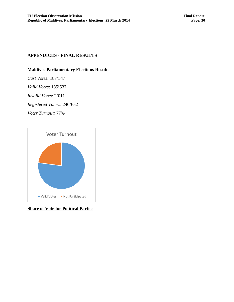#### **APPENDICES - FINAL RESULTS**

#### **Maldives Parliamentary Elections Results**

*Cast Votes:* 187'547

*Valid Votes*: 185'537

*Invalid Votes*: 2'011

*Registered Voters*: 240'652

*Voter Turnout:* 77%



**Share of Vote for Political Parties**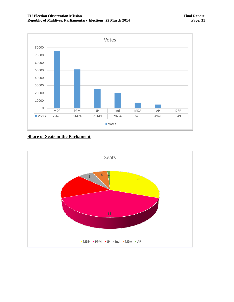

**Share of Seats in the Parliament**